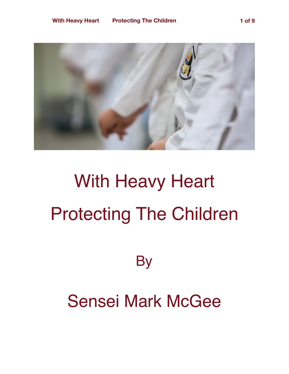

# With Heavy Heart Protecting The Children

By

# Sensei Mark McGee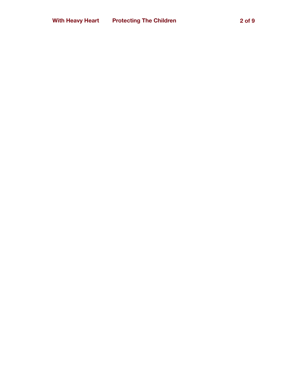#### **With Heavy Heart Protecting The Children 2 of 9**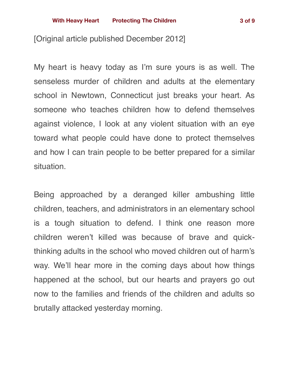[Original article published December 2012]

My heart is heavy today as I'm sure yours is as well. The senseless murder of children and adults at the elementary school in Newtown, Connecticut just breaks your heart. As someone who teaches children how to defend themselves against violence, I look at any violent situation with an eye toward what people could have done to protect themselves and how I can train people to be better prepared for a similar situation.

Being approached by a deranged killer ambushing little children, teachers, and administrators in an elementary school is a tough situation to defend. I think one reason more children weren't killed was because of brave and quickthinking adults in the school who moved children out of harm's way. We'll hear more in the coming days about how things happened at the school, but our hearts and prayers go out now to the families and friends of the children and adults so brutally attacked yesterday morning.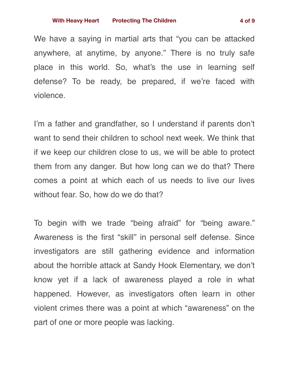We have a saying in martial arts that "you can be attacked anywhere, at anytime, by anyone." There is no truly safe place in this world. So, what's the use in learning self defense? To be ready, be prepared, if we're faced with violence.

I'm a father and grandfather, so I understand if parents don't want to send their children to school next week. We think that if we keep our children close to us, we will be able to protect them from any danger. But how long can we do that? There comes a point at which each of us needs to live our lives without fear. So, how do we do that?

To begin with we trade "being afraid" for "being aware." Awareness is the first "skill" in personal self defense. Since investigators are still gathering evidence and information about the horrible attack at Sandy Hook Elementary, we don't know yet if a lack of awareness played a role in what happened. However, as investigators often learn in other violent crimes there was a point at which "awareness" on the part of one or more people was lacking.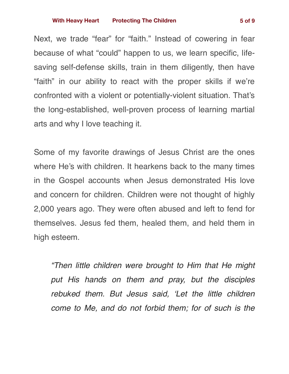Next, we trade "fear" for "faith." Instead of cowering in fear because of what "could" happen to us, we learn specific, lifesaving self-defense skills, train in them diligently, then have "faith" in our ability to react with the proper skills if we're confronted with a violent or potentially-violent situation. That's the long-established, well-proven process of learning martial arts and why I love teaching it.

Some of my favorite drawings of Jesus Christ are the ones where He's with children. It hearkens back to the many times in the Gospel accounts when Jesus demonstrated His love and concern for children. Children were not thought of highly 2,000 years ago. They were often abused and left to fend for themselves. Jesus fed them, healed them, and held them in high esteem.

*"Then little children were brought to Him that He might put His hands on them and pray, but the disciples rebuked them. But Jesus said, 'Let the little children come to Me, and do not forbid them; for of such is the*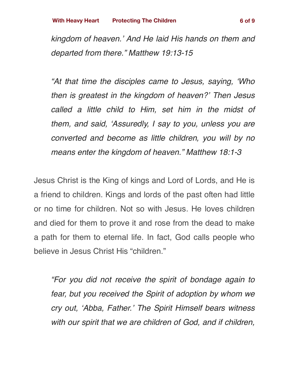*kingdom of heaven.' And He laid His hands on them and departed from there." Matthew 19:13-15*

*"At that time the disciples came to Jesus, saying, 'Who then is greatest in the kingdom of heaven?' Then Jesus called a little child to Him, set him in the midst of them, and said, 'Assuredly, I say to you, unless you are converted and become as little children, you will by no means enter the kingdom of heaven." Matthew 18:1-3*

Jesus Christ is the King of kings and Lord of Lords, and He is a friend to children. Kings and lords of the past often had little or no time for children. Not so with Jesus. He loves children and died for them to prove it and rose from the dead to make a path for them to eternal life. In fact, God calls people who believe in Jesus Christ His "children."

*"For you did not receive the spirit of bondage again to fear, but you received the Spirit of adoption by whom we cry out, 'Abba, Father.' The Spirit Himself bears witness with our spirit that we are children of God, and if children,*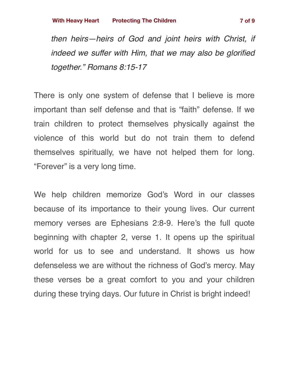*then heirs—heirs of God and joint heirs with Christ, if indeed we suffer with Him, that we may also be glorified together." Romans 8:15-17*

There is only one system of defense that I believe is more important than self defense and that is "faith" defense. If we train children to protect themselves physically against the violence of this world but do not train them to defend themselves spiritually, we have not helped them for long. "Forever" is a very long time.

We help children memorize God's Word in our classes because of its importance to their young lives. Our current memory verses are Ephesians 2:8-9. Here's the full quote beginning with chapter 2, verse 1. It opens up the spiritual world for us to see and understand. It shows us how defenseless we are without the richness of God's mercy. May these verses be a great comfort to you and your children during these trying days. Our future in Christ is bright indeed!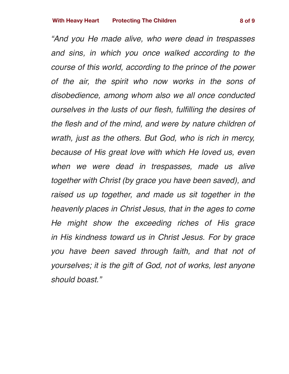*"And you He made alive, who were dead in trespasses and sins, in which you once walked according to the course of this world, according to the prince of the power of the air, the spirit who now works in the sons of disobedience, among whom also we all once conducted ourselves in the lusts of our flesh, fulfilling the desires of the flesh and of the mind, and were by nature children of wrath, just as the others. But God, who is rich in mercy, because of His great love with which He loved us, even when we were dead in trespasses, made us alive together with Christ (by grace you have been saved), and raised us up together, and made us sit together in the heavenly places in Christ Jesus, that in the ages to come He might show the exceeding riches of His grace in His kindness toward us in Christ Jesus. For by grace you have been saved through faith, and that not of yourselves; it is the gift of God, not of works, lest anyone should boast."*